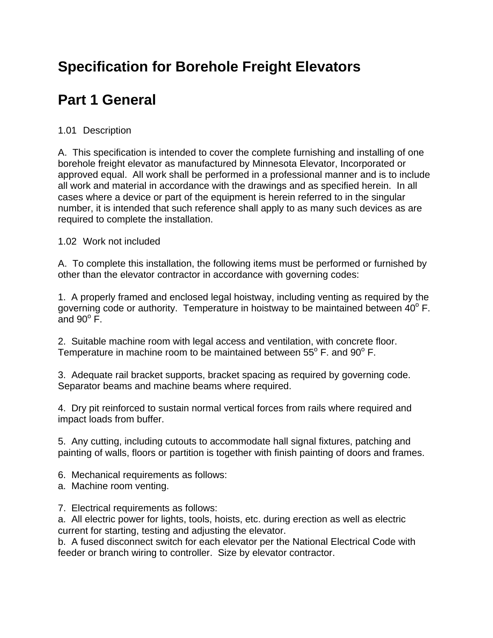# **Specification for Borehole Freight Elevators**

# **Part 1 General**

## 1.01 Description

A. This specification is intended to cover the complete furnishing and installing of one borehole freight elevator as manufactured by Minnesota Elevator, Incorporated or approved equal. All work shall be performed in a professional manner and is to include all work and material in accordance with the drawings and as specified herein. In all cases where a device or part of the equipment is herein referred to in the singular number, it is intended that such reference shall apply to as many such devices as are required to complete the installation.

## 1.02 Work not included

A. To complete this installation, the following items must be performed or furnished by other than the elevator contractor in accordance with governing codes:

1. A properly framed and enclosed legal hoistway, including venting as required by the governing code or authority. Temperature in hoistway to be maintained between  $40^{\circ}$  F. and  $90^\circ$  F.

2. Suitable machine room with legal access and ventilation, with concrete floor. Temperature in machine room to be maintained between  $55^{\circ}$  F. and  $90^{\circ}$  F.

3. Adequate rail bracket supports, bracket spacing as required by governing code. Separator beams and machine beams where required.

4. Dry pit reinforced to sustain normal vertical forces from rails where required and impact loads from buffer.

5. Any cutting, including cutouts to accommodate hall signal fixtures, patching and painting of walls, floors or partition is together with finish painting of doors and frames.

- 6. Mechanical requirements as follows:
- a. Machine room venting.
- 7. Electrical requirements as follows:

a. All electric power for lights, tools, hoists, etc. during erection as well as electric current for starting, testing and adjusting the elevator.

b. A fused disconnect switch for each elevator per the National Electrical Code with feeder or branch wiring to controller. Size by elevator contractor.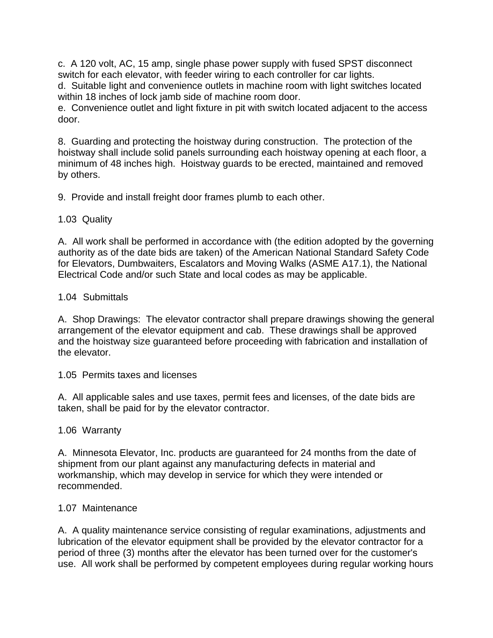c. A 120 volt, AC, 15 amp, single phase power supply with fused SPST disconnect switch for each elevator, with feeder wiring to each controller for car lights.

d. Suitable light and convenience outlets in machine room with light switches located within 18 inches of lock jamb side of machine room door.

e. Convenience outlet and light fixture in pit with switch located adjacent to the access door.

8. Guarding and protecting the hoistway during construction. The protection of the hoistway shall include solid panels surrounding each hoistway opening at each floor, a minimum of 48 inches high. Hoistway guards to be erected, maintained and removed by others.

9. Provide and install freight door frames plumb to each other.

## 1.03 Quality

A. All work shall be performed in accordance with (the edition adopted by the governing authority as of the date bids are taken) of the American National Standard Safety Code for Elevators, Dumbwaiters, Escalators and Moving Walks (ASME A17.1), the National Electrical Code and/or such State and local codes as may be applicable.

## 1.04 Submittals

A. Shop Drawings: The elevator contractor shall prepare drawings showing the general arrangement of the elevator equipment and cab. These drawings shall be approved and the hoistway size guaranteed before proceeding with fabrication and installation of the elevator.

1.05 Permits taxes and licenses

A. All applicable sales and use taxes, permit fees and licenses, of the date bids are taken, shall be paid for by the elevator contractor.

1.06 Warranty

A. Minnesota Elevator, Inc. products are guaranteed for 24 months from the date of shipment from our plant against any manufacturing defects in material and workmanship, which may develop in service for which they were intended or recommended.

## 1.07 Maintenance

A. A quality maintenance service consisting of regular examinations, adjustments and lubrication of the elevator equipment shall be provided by the elevator contractor for a period of three (3) months after the elevator has been turned over for the customer's use. All work shall be performed by competent employees during regular working hours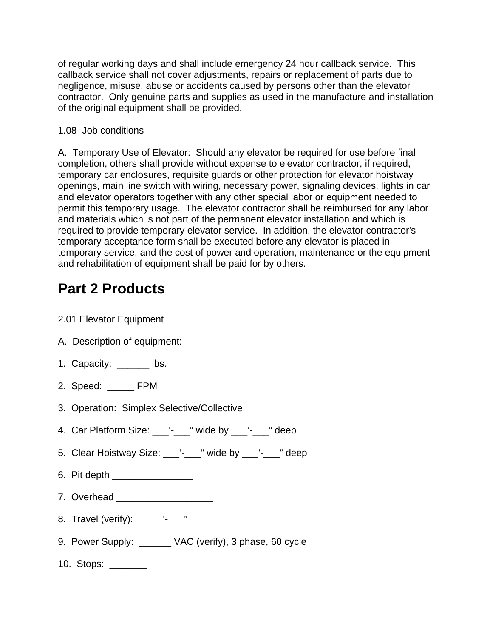of regular working days and shall include emergency 24 hour callback service. This callback service shall not cover adjustments, repairs or replacement of parts due to negligence, misuse, abuse or accidents caused by persons other than the elevator contractor. Only genuine parts and supplies as used in the manufacture and installation of the original equipment shall be provided.

## 1.08 Job conditions

A. Temporary Use of Elevator: Should any elevator be required for use before final completion, others shall provide without expense to elevator contractor, if required, temporary car enclosures, requisite guards or other protection for elevator hoistway openings, main line switch with wiring, necessary power, signaling devices, lights in car and elevator operators together with any other special labor or equipment needed to permit this temporary usage. The elevator contractor shall be reimbursed for any labor and materials which is not part of the permanent elevator installation and which is required to provide temporary elevator service. In addition, the elevator contractor's temporary acceptance form shall be executed before any elevator is placed in temporary service, and the cost of power and operation, maintenance or the equipment and rehabilitation of equipment shall be paid for by others.

# **Part 2 Products**

- 2.01 Elevator Equipment
- A. Description of equipment:
- 1. Capacity: \_\_\_\_\_\_\_ lbs.
- 2. Speed: \_\_\_\_\_ FPM
- 3. Operation: Simplex Selective/Collective
- 4. Car Platform Size:  $\cdot$   $\cdot$   $\cdot$   $\cdot$   $\cdot$  wide by  $\cdot$   $\cdot$   $\cdot$   $\cdot$   $\cdot$  deep
- 5. Clear Hoistway Size: \_\_\_'-\_\_\_" wide by \_\_\_'-\_\_" deep
- 6. Pit depth \_\_\_\_\_\_\_\_\_\_\_\_\_\_\_
- 7. Overhead **zeros** and **zeros** and **zeros** and **zeros** and **zeros** and **zeros** and **zeros** and **zeros** and **zeros** and **zeros** and **zeros** and **zeros** and **zeros** and **zeros** and **zeros** and **zeros** and **zeros** and **zeros**
- 8. Travel (verify): \_\_\_\_\_'-\_\_"
- 9. Power Supply: VAC (verify), 3 phase, 60 cycle
- 10. Stops: \_\_\_\_\_\_\_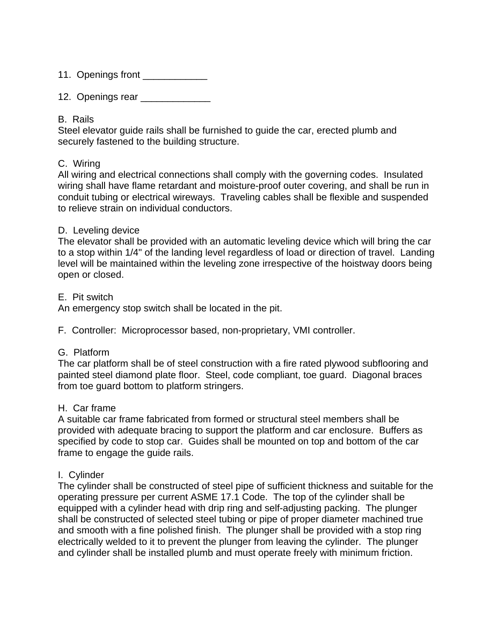11. Openings front \_\_\_\_\_\_\_\_\_\_\_\_\_\_

12. Openings rear \_\_\_\_\_\_\_\_\_\_\_\_\_\_

#### B. Rails

Steel elevator guide rails shall be furnished to guide the car, erected plumb and securely fastened to the building structure.

#### C. Wiring

All wiring and electrical connections shall comply with the governing codes. Insulated wiring shall have flame retardant and moisture-proof outer covering, and shall be run in conduit tubing or electrical wireways. Traveling cables shall be flexible and suspended to relieve strain on individual conductors.

#### D. Leveling device

The elevator shall be provided with an automatic leveling device which will bring the car to a stop within 1/4" of the landing level regardless of load or direction of travel. Landing level will be maintained within the leveling zone irrespective of the hoistway doors being open or closed.

#### E. Pit switch

An emergency stop switch shall be located in the pit.

F. Controller: Microprocessor based, non-proprietary, VMI controller.

#### G. Platform

The car platform shall be of steel construction with a fire rated plywood subflooring and painted steel diamond plate floor. Steel, code compliant, toe guard. Diagonal braces from toe guard bottom to platform stringers.

#### H. Car frame

A suitable car frame fabricated from formed or structural steel members shall be provided with adequate bracing to support the platform and car enclosure. Buffers as specified by code to stop car. Guides shall be mounted on top and bottom of the car frame to engage the guide rails.

## I. Cylinder

The cylinder shall be constructed of steel pipe of sufficient thickness and suitable for the operating pressure per current ASME 17.1 Code. The top of the cylinder shall be equipped with a cylinder head with drip ring and self-adjusting packing. The plunger shall be constructed of selected steel tubing or pipe of proper diameter machined true and smooth with a fine polished finish. The plunger shall be provided with a stop ring electrically welded to it to prevent the plunger from leaving the cylinder. The plunger and cylinder shall be installed plumb and must operate freely with minimum friction.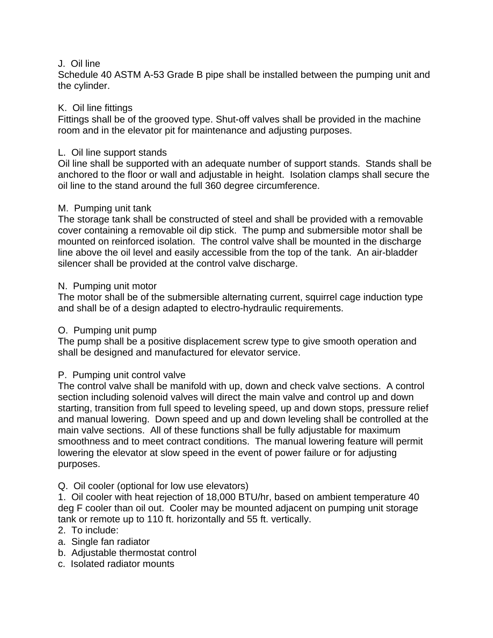#### J. Oil line

Schedule 40 ASTM A-53 Grade B pipe shall be installed between the pumping unit and the cylinder.

## K. Oil line fittings

Fittings shall be of the grooved type. Shut-off valves shall be provided in the machine room and in the elevator pit for maintenance and adjusting purposes.

## L. Oil line support stands

Oil line shall be supported with an adequate number of support stands. Stands shall be anchored to the floor or wall and adjustable in height. Isolation clamps shall secure the oil line to the stand around the full 360 degree circumference.

### M. Pumping unit tank

The storage tank shall be constructed of steel and shall be provided with a removable cover containing a removable oil dip stick. The pump and submersible motor shall be mounted on reinforced isolation. The control valve shall be mounted in the discharge line above the oil level and easily accessible from the top of the tank. An air-bladder silencer shall be provided at the control valve discharge.

### N. Pumping unit motor

The motor shall be of the submersible alternating current, squirrel cage induction type and shall be of a design adapted to electro-hydraulic requirements.

## O. Pumping unit pump

The pump shall be a positive displacement screw type to give smooth operation and shall be designed and manufactured for elevator service.

## P. Pumping unit control valve

The control valve shall be manifold with up, down and check valve sections. A control section including solenoid valves will direct the main valve and control up and down starting, transition from full speed to leveling speed, up and down stops, pressure relief and manual lowering. Down speed and up and down leveling shall be controlled at the main valve sections. All of these functions shall be fully adjustable for maximum smoothness and to meet contract conditions. The manual lowering feature will permit lowering the elevator at slow speed in the event of power failure or for adjusting purposes.

## Q. Oil cooler (optional for low use elevators)

1. Oil cooler with heat rejection of 18,000 BTU/hr, based on ambient temperature 40 deg F cooler than oil out. Cooler may be mounted adjacent on pumping unit storage tank or remote up to 110 ft. horizontally and 55 ft. vertically.

#### 2. To include:

- a. Single fan radiator
- b. Adjustable thermostat control
- c. Isolated radiator mounts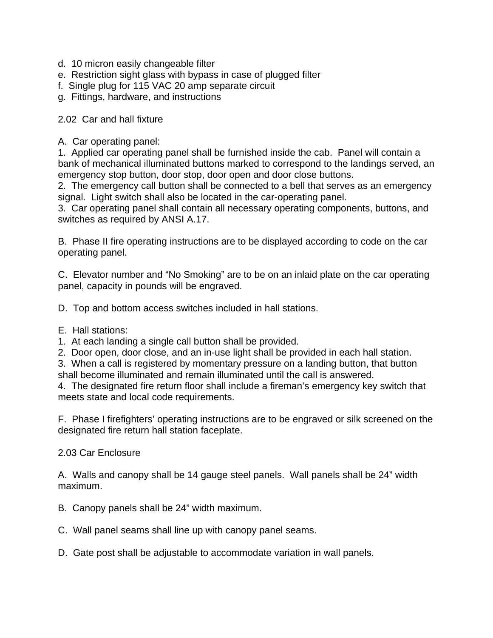- d. 10 micron easily changeable filter
- e. Restriction sight glass with bypass in case of plugged filter
- f. Single plug for 115 VAC 20 amp separate circuit
- g. Fittings, hardware, and instructions

### 2.02 Car and hall fixture

A. Car operating panel:

1. Applied car operating panel shall be furnished inside the cab. Panel will contain a bank of mechanical illuminated buttons marked to correspond to the landings served, an emergency stop button, door stop, door open and door close buttons.

2. The emergency call button shall be connected to a bell that serves as an emergency signal. Light switch shall also be located in the car-operating panel.

3. Car operating panel shall contain all necessary operating components, buttons, and switches as required by ANSI A.17.

B. Phase II fire operating instructions are to be displayed according to code on the car operating panel.

C. Elevator number and "No Smoking" are to be on an inlaid plate on the car operating panel, capacity in pounds will be engraved.

D. Top and bottom access switches included in hall stations.

- E. Hall stations:
- 1. At each landing a single call button shall be provided.
- 2. Door open, door close, and an in-use light shall be provided in each hall station.
- 3. When a call is registered by momentary pressure on a landing button, that button shall become illuminated and remain illuminated until the call is answered.

4. The designated fire return floor shall include a fireman's emergency key switch that meets state and local code requirements.

F. Phase I firefighters' operating instructions are to be engraved or silk screened on the designated fire return hall station faceplate.

#### 2.03 Car Enclosure

A. Walls and canopy shall be 14 gauge steel panels. Wall panels shall be 24" width maximum.

- B. Canopy panels shall be 24" width maximum.
- C. Wall panel seams shall line up with canopy panel seams.
- D. Gate post shall be adjustable to accommodate variation in wall panels.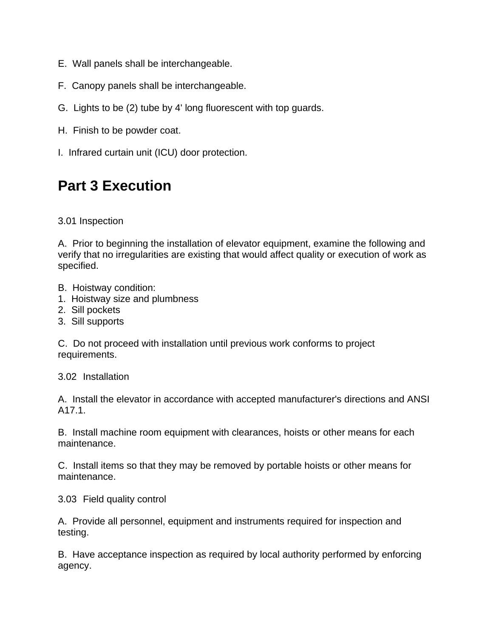- E. Wall panels shall be interchangeable.
- F. Canopy panels shall be interchangeable.
- G. Lights to be (2) tube by 4' long fluorescent with top guards.
- H. Finish to be powder coat.
- I. Infrared curtain unit (ICU) door protection.

## **Part 3 Execution**

3.01 Inspection

A. Prior to beginning the installation of elevator equipment, examine the following and verify that no irregularities are existing that would affect quality or execution of work as specified.

- B. Hoistway condition:
- 1. Hoistway size and plumbness
- 2. Sill pockets
- 3. Sill supports

C. Do not proceed with installation until previous work conforms to project requirements.

3.02 Installation

A. Install the elevator in accordance with accepted manufacturer's directions and ANSI A17.1.

B. Install machine room equipment with clearances, hoists or other means for each maintenance.

C. Install items so that they may be removed by portable hoists or other means for maintenance.

3.03 Field quality control

A. Provide all personnel, equipment and instruments required for inspection and testing.

B. Have acceptance inspection as required by local authority performed by enforcing agency.